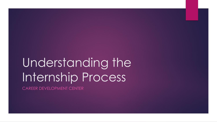# Understanding the Internship Process

CAREER DEVELOPMENT CENTER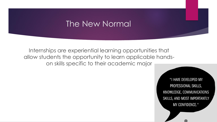### The New Normal

Internships are experiential learning opportunities that allow students the opportunity to learn applicable handson skills specific to their academic major

> "I HAVE DEVELOPED MY PROFESSIONAL SKILLS, KNOWLEDGE, COMMUNICATIONS SKILLS, AND MOST IMPORTANTLY MY CONFIDENCE."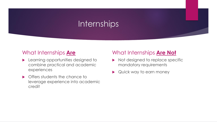### Internships

#### What Internships **Are**

- **Learning opportunities designed to** combine practical and academic experiences
- **Offers students the chance to** leverage experience into academic credit

#### What Internships **Are Not**

- Not designed to replace specific mandatory requirements
- Quick way to earn money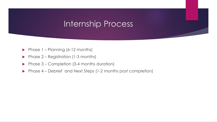### Internship Process

- Phase  $1$  Planning (6-12 months)
- Phase  $2 -$  Registration (1-3 months)
- Phase  $3$  Completion (3-4 months duration)
- ▶ Phase 4 Debrief and Next Steps (1-2 months post completion)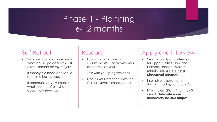### Phase 1 - Planning 6-12 months

#### Self-Reflect

- Why am I doing an internship? What do I hope achieve? Is it a requirement for my major?
- If money is a need consider a part time job instead.
- If community involvement is what you are after, what about volunteering?

#### Research

- Look at your academic requirements – speak with your academic advisor
- Talk with your program chair
- Discuss your intentions with the Career Development Center

#### Apply and interview

- Search, apply and interview for opportunities. Handshake, LinkedIn, Indeed, Word of Mouth, etc. **We are not a placement agency.**
- Internship requirements: 40hrs/1cr, 80hrs/2cr, 120hrs/3cr
- HTM majors: 200hrs/1 cr max 3 credits. **Internships are mandatory for HTM majors.**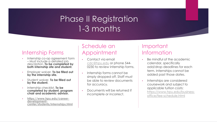### Phase II Registration 1-3 months

#### Internship Forms

- Internship co-op agreement form – Must include a detailed job description. **To be completed by both internship site and student.**
- Employer waiver. **To be filled out by the internship site.**
- Student waiver. **To be filled out by the student.**
- Internship checklist. **To be completed by student, program chair and academic advisor.**
- **https://www.hpu.edu/careerdevelopment[center/students/internships.html](https://www.hpu.edu/career-development-center/students/internships.html)**

#### Schedule an Appointment

- Contact via email [cdc@hpu.edu](mailto:cdc@hpu.edu) or phone 544- 0230 to review internship forms.
- Internship forms cannot be simply dropped off. Staff must be able to review documents for accuracy.
- Documents will be returned if incomplete or incorrect.

#### Important Information

- Be mindful of the academic calendar, specifically add/drop deadlines for each term. Internships cannot be added past those dates.
- Internships are considered coursework and subject to applicable tuition costs: [https://www.hpu.edu/business](https://www.hpu.edu/business-office/fee-schedule.html)office/fee-schedule.html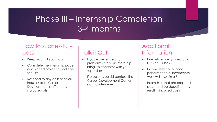# Phase III – Internship Completion 3-4 months

### How to successfully

#### pass

- Keep track of your hours
- Complete the internship paper or assigned project by college faculty
- Respond to any calls or email inquiries from Career Development staff on any status reports

### Talk it Out

- If you experience any problems with your internship, bring up concerns with your supervisor
- If problems persist contact the Career Development Center staff to intervene

#### **Additional** Information

- Internships are graded on a Pass or Fail basis
- Incomplete hours, poor performance or incomplete work will result in a F.
- Internships that are dropped past the drop deadline may result in incurred costs.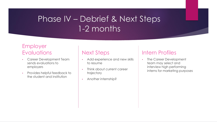# Phase IV – Debrief & Next Steps 1-2 months

#### Employer **Evaluations**

- Career Development Team sends evaluations to employers
- Provides helpful feedback to the student and institution

#### Next Steps

- Add experience and new skills to resume
- Think about current career trajectory
- Another internship?

#### Intern Profiles

The Career Development team may select and interview high performing interns for marketing purposes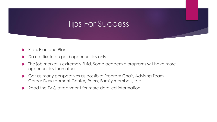### Tips For Success

- Plan, Plan and Plan
- Do not fixate on paid opportunities only.
- ▶ The job market is extremely fluid. Some academic programs will have more opportunities than others.
- Get as many perspectives as possible: Program Chair, Advising Team, Career Development Center, Peers, Family members, etc.
- Read the FAQ attachment for more detailed information